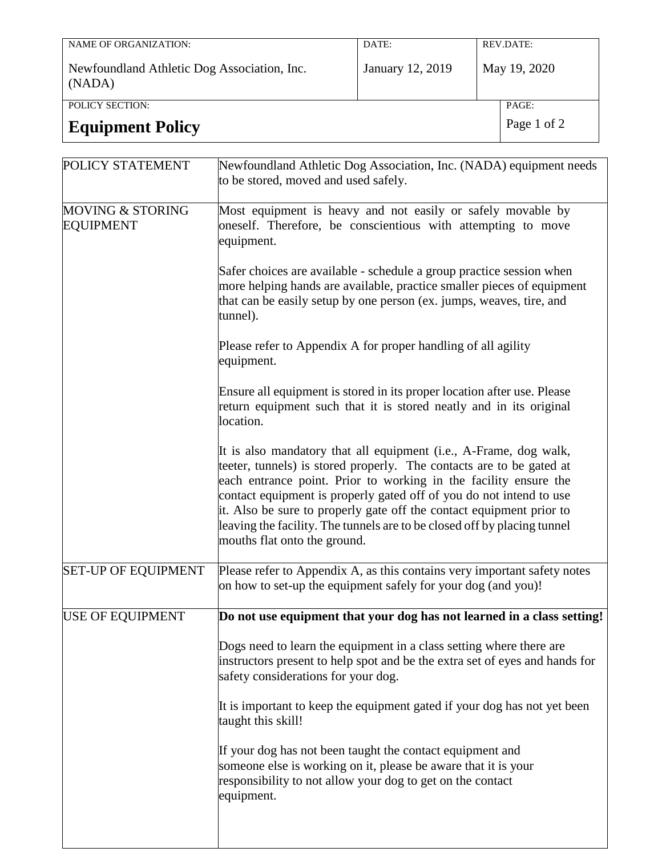| NAME OF ORGANIZATION:                                 | DATE:            |  | REV.DATE:    |
|-------------------------------------------------------|------------------|--|--------------|
| Newfoundland Athletic Dog Association, Inc.<br>(NADA) | January 12, 2019 |  | May 19, 2020 |
| POLICY SECTION:                                       |                  |  | PAGE:        |
| <b>Equipment Policy</b>                               |                  |  | Page 1 of 2  |

| POLICY STATEMENT                                | Newfoundland Athletic Dog Association, Inc. (NADA) equipment needs<br>to be stored, moved and used safely.                                                                                                                                                                                                                                                                                                                                                               |
|-------------------------------------------------|--------------------------------------------------------------------------------------------------------------------------------------------------------------------------------------------------------------------------------------------------------------------------------------------------------------------------------------------------------------------------------------------------------------------------------------------------------------------------|
|                                                 |                                                                                                                                                                                                                                                                                                                                                                                                                                                                          |
| <b>MOVING &amp; STORING</b><br><b>EQUIPMENT</b> | Most equipment is heavy and not easily or safely movable by<br>oneself. Therefore, be conscientious with attempting to move<br>equipment.                                                                                                                                                                                                                                                                                                                                |
|                                                 | Safer choices are available - schedule a group practice session when<br>more helping hands are available, practice smaller pieces of equipment<br>that can be easily setup by one person (ex. jumps, weaves, tire, and<br>tunnel).                                                                                                                                                                                                                                       |
|                                                 | Please refer to Appendix A for proper handling of all agility<br>equipment.                                                                                                                                                                                                                                                                                                                                                                                              |
|                                                 | Ensure all equipment is stored in its proper location after use. Please<br>return equipment such that it is stored neatly and in its original<br>location.                                                                                                                                                                                                                                                                                                               |
|                                                 | It is also mandatory that all equipment (i.e., A-Frame, dog walk,<br>teeter, tunnels) is stored properly. The contacts are to be gated at<br>each entrance point. Prior to working in the facility ensure the<br>contact equipment is properly gated off of you do not intend to use<br>it. Also be sure to properly gate off the contact equipment prior to<br>leaving the facility. The tunnels are to be closed off by placing tunnel<br>mouths flat onto the ground. |
| <b>SET-UP OF EQUIPMENT</b>                      | Please refer to Appendix A, as this contains very important safety notes<br>on how to set-up the equipment safely for your dog (and you)!                                                                                                                                                                                                                                                                                                                                |
| <b>USE OF EQUIPMENT</b>                         | Do not use equipment that your dog has not learned in a class setting!                                                                                                                                                                                                                                                                                                                                                                                                   |
|                                                 | Dogs need to learn the equipment in a class setting where there are<br>instructors present to help spot and be the extra set of eyes and hands for<br>safety considerations for your dog.                                                                                                                                                                                                                                                                                |
|                                                 | It is important to keep the equipment gated if your dog has not yet been<br>taught this skill!                                                                                                                                                                                                                                                                                                                                                                           |
|                                                 | If your dog has not been taught the contact equipment and<br>someone else is working on it, please be aware that it is your<br>responsibility to not allow your dog to get on the contact<br>equipment.                                                                                                                                                                                                                                                                  |
|                                                 |                                                                                                                                                                                                                                                                                                                                                                                                                                                                          |